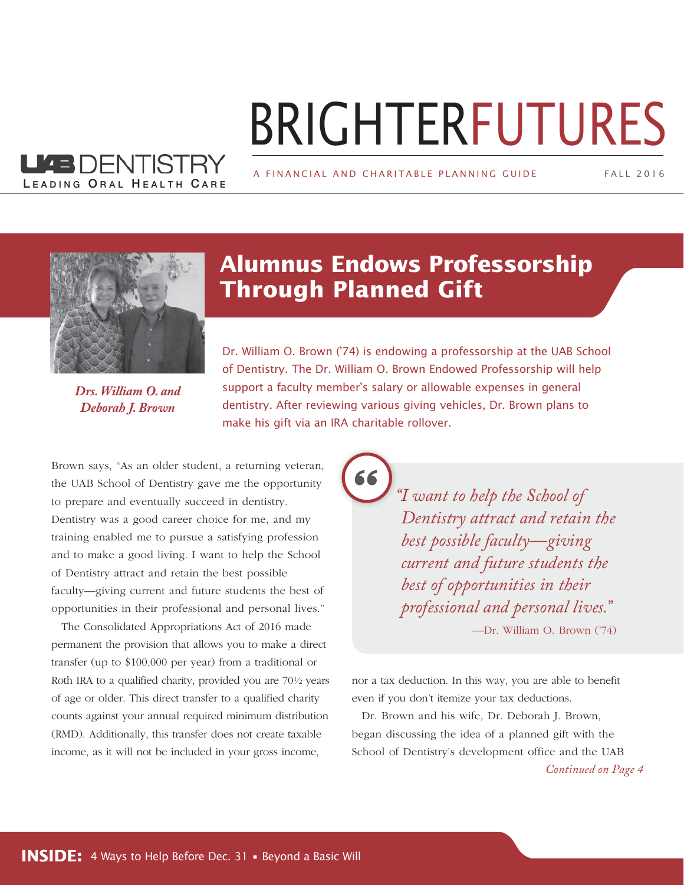# BRIGHTERFUTURES

A FINANCIAL AND CHARITABLE PLANNING GUIDE

FALL 2 0 1 6



LEADING ORAL HEALTH CARE

KEDENTISTRY

*Drs. William O. and Deborah J. Brown*

#### **Alumnus Endows Professorship Through Planned Gift**

Dr. William O. Brown ('74) is endowing a professorship at the UAB School of Dentistry. The Dr. William O. Brown Endowed Professorship will help support a faculty member's salary or allowable expenses in general dentistry. After reviewing various giving vehicles, Dr. Brown plans to make his gift via an IRA charitable rollover.

Brown says, "As an older student, a returning veteran, the UAB School of Dentistry gave me the opportunity to prepare and eventually succeed in dentistry. Dentistry was a good career choice for me, and my training enabled me to pursue a satisfying profession and to make a good living. I want to help the School of Dentistry attract and retain the best possible faculty—giving current and future students the best of opportunities in their professional and personal lives."

The Consolidated Appropriations Act of 2016 made permanent the provision that allows you to make a direct transfer (up to \$100,000 per year) from a traditional or Roth IRA to a qualified charity, provided you are 70½ years of age or older. This direct transfer to a qualified charity counts against your annual required minimum distribution (RMD). Additionally, this transfer does not create taxable income, as it will not be included in your gross income,

*"I want to help the School of Dentistry attract and retain the best possible faculty—giving current and future students the best of opportunities in their professional and personal lives."*

—Dr. William O. Brown ('74)

nor a tax deduction. In this way, you are able to benefit even if you don't itemize your tax deductions.

Dr. Brown and his wife, Dr. Deborah J. Brown, began discussing the idea of a planned gift with the School of Dentistry's development office and the UAB

*Continued on Page 4*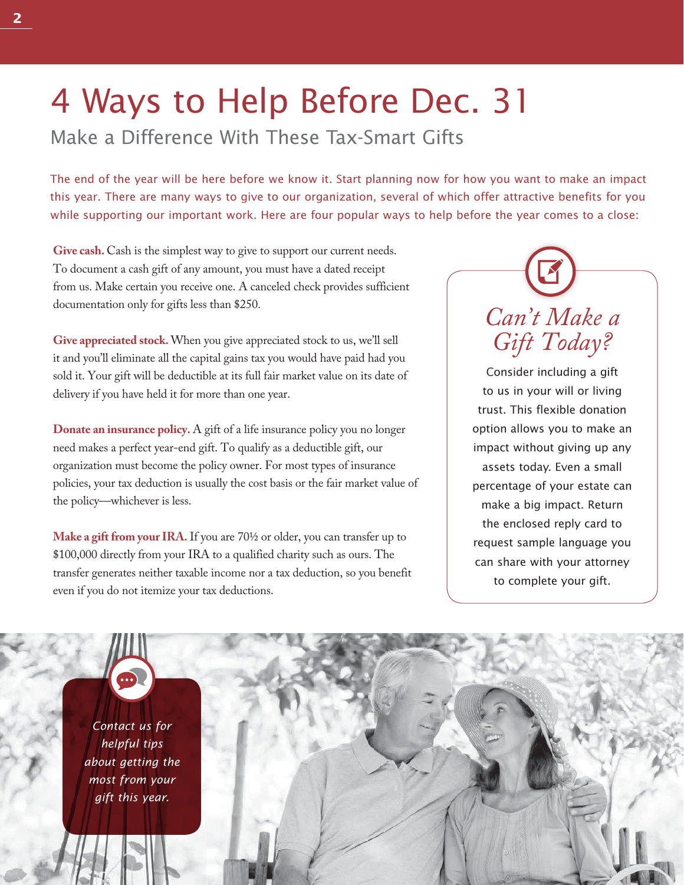## 4 Ways to Help Before Dec. 31

Make a Difference With These Tax-Smart Gifts

The end of the year will be here before we know it. Start planning now for how you want to make an impact this year. There are many ways to give to our organization, several of which offer attractive benefits for you while supporting our important work. Here are four popular ways to help before the year comes to a close:

Give cash. Cash is the simplest way to give to support our current needs. To document a cash gift of any amount, you must have a dated receipt from us. Make certain you receive one. A canceled check provides sufficient documentation only for gifts less than \$250.

**Give appreciated stock.** When you give appreciated stock to us, we'll sell it and you'll eliminate all the capital gains tax you would have paid had you sold it. Your gift will be deductible at its full fair market value on its date of delivery if you have held it for more than one year.

**Donate an insurance policy.** A gift of a life insurance policy you no longer need makes a perfect year-end gift. To qualify as a deductible gift, our organization must become the policy owner. For most types of insurance policies, your tax deduction is usually the cost basis or the fair market value of the policy—whichever is less.

**Make a gift from your IRA.** If you are 70½ or older, you can transfer up to \$100,000 directly from your IRA to a qualified charity such as ours. The transfer generates neither taxable income nor a tax deduction, so you benefit even if you do not itemize your tax deductions.



Consider including a gift to us in your will or living trust. This flexible donation option allows you to make an impact without giving up any assets today. Even a small percentage of your estate can make a big impact. Return the enclosed reply card to request sample language you can share with your attorney to complete your gift.

*Contact us for helpful tips about getting the most from your gift this year.*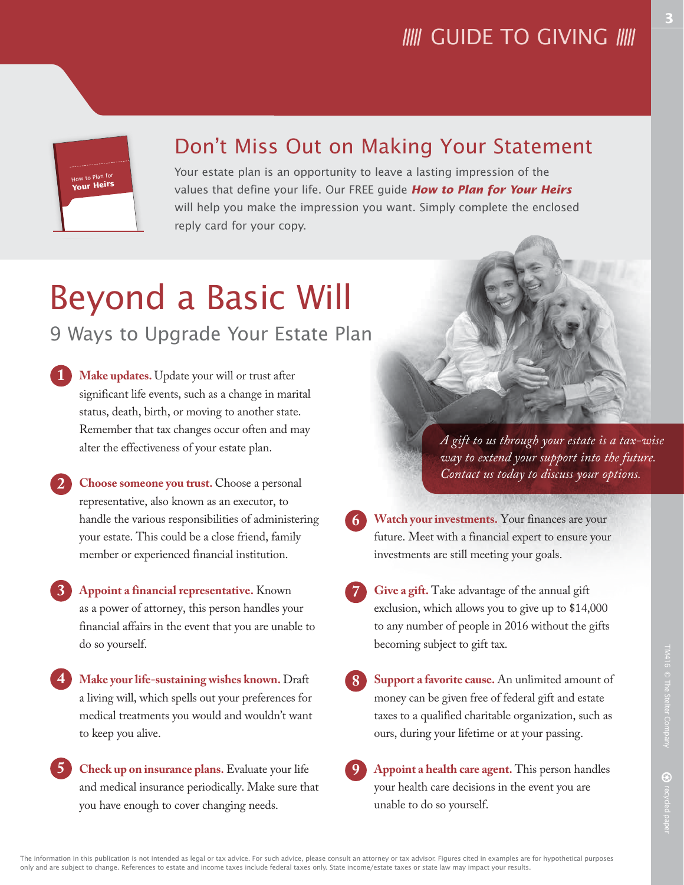## **IIII** GUIDE TO GIVING **IIII**

**3**

#### Don't Miss Out on Making Your Statement

Your estate plan is an opportunity to leave a lasting impression of the values that define your life. Our FREE guide *How to Plan for Your Heirs*  will help you make the impression you want. Simply complete the enclosed reply card for your copy.

# Beyond a Basic Will

#### 9 Ways to Upgrade Your Estate Plan

- **Make updates.** Update your will or trust after significant life events, such as a change in marital status, death, birth, or moving to another state. Remember that tax changes occur often and may alter the effectiveness of your estate plan. **1**
- **Choose someone you trust.** Choose a personal representative, also known as an executor, to handle the various responsibilities of administering your estate. This could be a close friend, family member or experienced financial institution. **2**
	- **Appoint a financial representative.** Known as a power of attorney, this person handles your financial affairs in the event that you are unable to do so yourself.
- **Make your life-sustaining wishes known.** Draft a living will, which spells out your preferences for medical treatments you would and wouldn't want to keep you alive. **4**
- **Check up on insurance plans.** Evaluate your life and medical insurance periodically. Make sure that you have enough to cover changing needs. **5**

*A gift to us through your estate is a tax-wise way to extend your support into the future. Contact us today to discuss your options.*

- **Watch your investments.** Your finances are your future. Meet with a financial expert to ensure your investments are still meeting your goals. **6**
- **Give a gift.** Take advantage of the annual gift exclusion, which allows you to give up to \$14,000 to any number of people in 2016 without the gifts becoming subject to gift tax. **7**
	- money can be given free of federal gift and estate taxes to a qualified charitable organization, such as

**8**

**Appoint a health care agent.** This person handles your health care decisions in the event you are unable to do so yourself. **9**

ours, during your lifetime or at your passing.

```
Support a favorite cause. An unlimited amount of
```